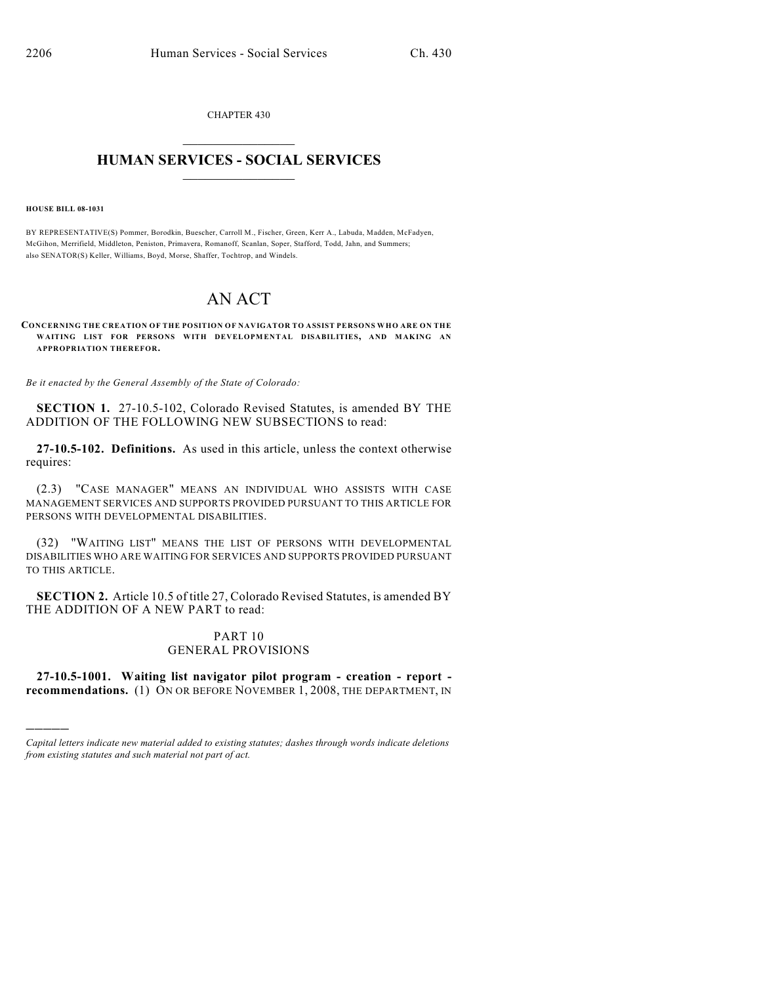CHAPTER 430  $\overline{\phantom{a}}$  . The set of the set of the set of the set of the set of the set of the set of the set of the set of the set of the set of the set of the set of the set of the set of the set of the set of the set of the set o

## **HUMAN SERVICES - SOCIAL SERVICES**  $\frac{1}{2}$  ,  $\frac{1}{2}$  ,  $\frac{1}{2}$  ,  $\frac{1}{2}$  ,  $\frac{1}{2}$  ,  $\frac{1}{2}$  ,  $\frac{1}{2}$

## **HOUSE BILL 08-1031**

)))))

BY REPRESENTATIVE(S) Pommer, Borodkin, Buescher, Carroll M., Fischer, Green, Kerr A., Labuda, Madden, McFadyen, McGihon, Merrifield, Middleton, Peniston, Primavera, Romanoff, Scanlan, Soper, Stafford, Todd, Jahn, and Summers; also SENATOR(S) Keller, Williams, Boyd, Morse, Shaffer, Tochtrop, and Windels.

## AN ACT

**CONCERNING THE CREATION OF THE POSITION OF NAVIGATOR TO ASSIST PERSONS WHO ARE ON THE WAITING LIST FOR PERSONS WITH DEVELOPMENTAL DISABILITIES, AND MAKING AN APPROPRIATION THEREFOR.**

*Be it enacted by the General Assembly of the State of Colorado:*

**SECTION 1.** 27-10.5-102, Colorado Revised Statutes, is amended BY THE ADDITION OF THE FOLLOWING NEW SUBSECTIONS to read:

**27-10.5-102. Definitions.** As used in this article, unless the context otherwise requires:

(2.3) "CASE MANAGER" MEANS AN INDIVIDUAL WHO ASSISTS WITH CASE MANAGEMENT SERVICES AND SUPPORTS PROVIDED PURSUANT TO THIS ARTICLE FOR PERSONS WITH DEVELOPMENTAL DISABILITIES.

(32) "WAITING LIST" MEANS THE LIST OF PERSONS WITH DEVELOPMENTAL DISABILITIES WHO ARE WAITING FOR SERVICES AND SUPPORTS PROVIDED PURSUANT TO THIS ARTICLE.

**SECTION 2.** Article 10.5 of title 27, Colorado Revised Statutes, is amended BY THE ADDITION OF A NEW PART to read:

## PART 10 GENERAL PROVISIONS

**27-10.5-1001. Waiting list navigator pilot program - creation - report recommendations.** (1) ON OR BEFORE NOVEMBER 1, 2008, THE DEPARTMENT, IN

*Capital letters indicate new material added to existing statutes; dashes through words indicate deletions from existing statutes and such material not part of act.*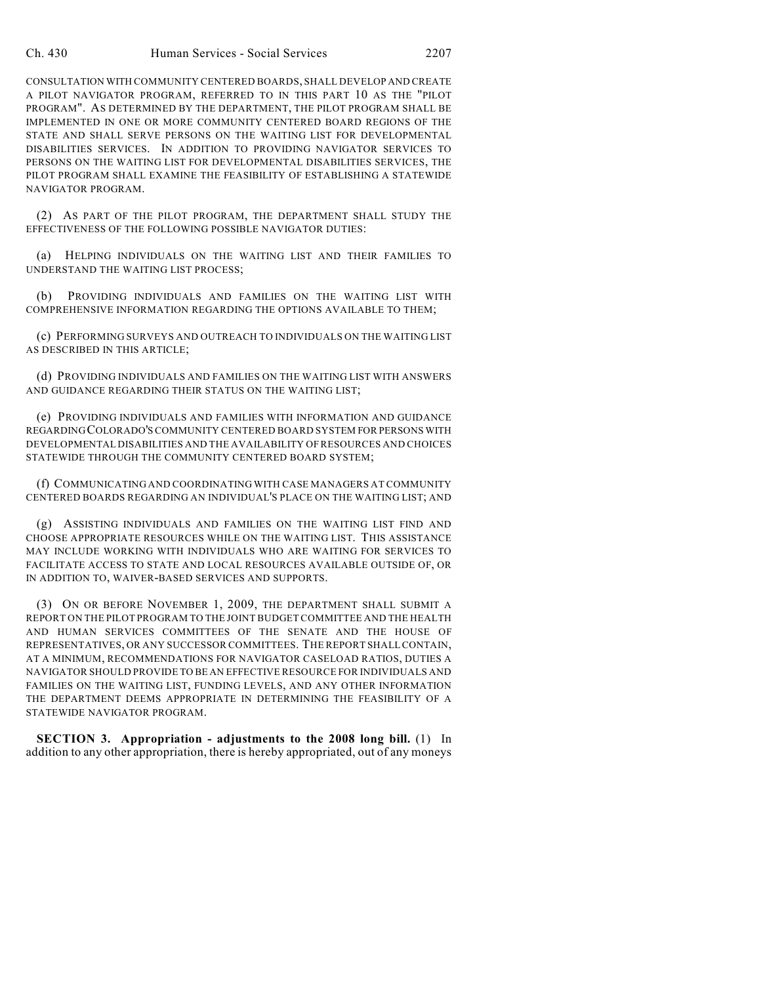CONSULTATION WITH COMMUNITY CENTERED BOARDS, SHALL DEVELOP AND CREATE A PILOT NAVIGATOR PROGRAM, REFERRED TO IN THIS PART 10 AS THE "PILOT PROGRAM". AS DETERMINED BY THE DEPARTMENT, THE PILOT PROGRAM SHALL BE IMPLEMENTED IN ONE OR MORE COMMUNITY CENTERED BOARD REGIONS OF THE STATE AND SHALL SERVE PERSONS ON THE WAITING LIST FOR DEVELOPMENTAL DISABILITIES SERVICES. IN ADDITION TO PROVIDING NAVIGATOR SERVICES TO PERSONS ON THE WAITING LIST FOR DEVELOPMENTAL DISABILITIES SERVICES, THE PILOT PROGRAM SHALL EXAMINE THE FEASIBILITY OF ESTABLISHING A STATEWIDE NAVIGATOR PROGRAM.

(2) AS PART OF THE PILOT PROGRAM, THE DEPARTMENT SHALL STUDY THE EFFECTIVENESS OF THE FOLLOWING POSSIBLE NAVIGATOR DUTIES:

(a) HELPING INDIVIDUALS ON THE WAITING LIST AND THEIR FAMILIES TO UNDERSTAND THE WAITING LIST PROCESS;

(b) PROVIDING INDIVIDUALS AND FAMILIES ON THE WAITING LIST WITH COMPREHENSIVE INFORMATION REGARDING THE OPTIONS AVAILABLE TO THEM;

(c) PERFORMING SURVEYS AND OUTREACH TO INDIVIDUALS ON THE WAITING LIST AS DESCRIBED IN THIS ARTICLE;

(d) PROVIDING INDIVIDUALS AND FAMILIES ON THE WAITING LIST WITH ANSWERS AND GUIDANCE REGARDING THEIR STATUS ON THE WAITING LIST;

(e) PROVIDING INDIVIDUALS AND FAMILIES WITH INFORMATION AND GUIDANCE REGARDING COLORADO'S COMMUNITY CENTERED BOARD SYSTEM FOR PERSONS WITH DEVELOPMENTAL DISABILITIES AND THE AVAILABILITY OF RESOURCES AND CHOICES STATEWIDE THROUGH THE COMMUNITY CENTERED BOARD SYSTEM;

(f) COMMUNICATING AND COORDINATING WITH CASE MANAGERS AT COMMUNITY CENTERED BOARDS REGARDING AN INDIVIDUAL'S PLACE ON THE WAITING LIST; AND

(g) ASSISTING INDIVIDUALS AND FAMILIES ON THE WAITING LIST FIND AND CHOOSE APPROPRIATE RESOURCES WHILE ON THE WAITING LIST. THIS ASSISTANCE MAY INCLUDE WORKING WITH INDIVIDUALS WHO ARE WAITING FOR SERVICES TO FACILITATE ACCESS TO STATE AND LOCAL RESOURCES AVAILABLE OUTSIDE OF, OR IN ADDITION TO, WAIVER-BASED SERVICES AND SUPPORTS.

(3) ON OR BEFORE NOVEMBER 1, 2009, THE DEPARTMENT SHALL SUBMIT A REPORT ON THE PILOT PROGRAM TO THE JOINT BUDGET COMMITTEE AND THE HEALTH AND HUMAN SERVICES COMMITTEES OF THE SENATE AND THE HOUSE OF REPRESENTATIVES, OR ANY SUCCESSOR COMMITTEES. THE REPORT SHALL CONTAIN, AT A MINIMUM, RECOMMENDATIONS FOR NAVIGATOR CASELOAD RATIOS, DUTIES A NAVIGATOR SHOULD PROVIDE TO BE AN EFFECTIVE RESOURCE FOR INDIVIDUALS AND FAMILIES ON THE WAITING LIST, FUNDING LEVELS, AND ANY OTHER INFORMATION THE DEPARTMENT DEEMS APPROPRIATE IN DETERMINING THE FEASIBILITY OF A STATEWIDE NAVIGATOR PROGRAM.

**SECTION 3. Appropriation - adjustments to the 2008 long bill.** (1) In addition to any other appropriation, there is hereby appropriated, out of any moneys